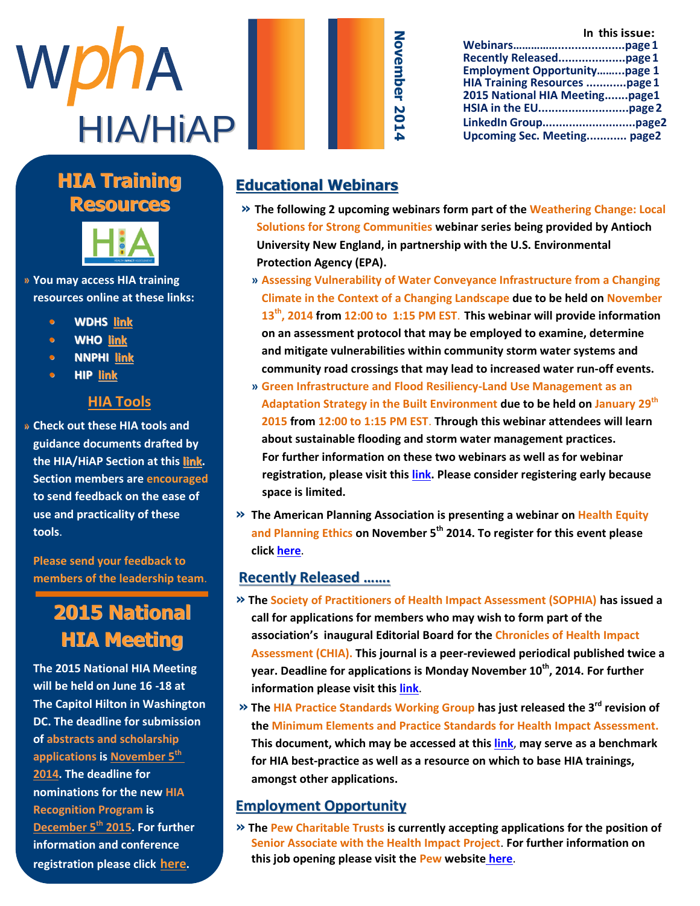

#### **Manuel Highlight Highlight Company** A THURRY **Resources HIA Training**



» You may access HIA training Jamay allege imit a annig t e a m . I n h e r r o l e a s **resources online at these links:**

- c o m m u n i c [a t i o](http://www.dhs.wisconsin.gov/hia/webcast.htm) n s o f f i c e r **• WDHS link**
- **• WHO link •**
- J a c k s o n w a s o n w a s o n w a s o n w a s o n w a s o n w a s o n w a s o n w a s o n w a s o n w a s o<br>J a s o n w a s o n w a s o n w a s o n w a s o n w a s o n w a s o n w a s o n w a s o n w a s o n w a s o n r e s p o n s i b l e f o r **• NNPHI [link](http://www.nnphi.org/program-areas/health-in-all-policies/health-impact-assessment/hia-resources-webinars-and-trainings)**
- p r o v i d i n [g m](http://www.humanimpact.org/new-to-hia/tools-a-resources/) o n t h l y **• HIP link**

#### $\mathbf{u} = \mathbf{u} \cdot \mathbf{u}$  to  $\mathbf{u} = \mathbf{u} \cdot \mathbf{u}$ S e con <mark>HIA Tools</mark> w

» Check out these HIA tools and guidance documents drafted by ر.<br>the HIA/HiAP Section at this <u>link</u>. te hiry hire secuon at the **Section members are encouraged** to send feedback on the ease of **use and practicality of these** w o r k e d a s a P r o g r a m **tools**.

**Please send your feedback to** members of the leadership team. d i v i s i o n o f v i s i o f v i c

#### 2015 National **2015 National HIA Meeting HIA Meeting**

**The 2015 National HIA Meeting** will be held on June 16 -18 at **The Capitol Hilton in Washington**  $\epsilon$  the deallier for warming **DC. The deadline for submission** of abstracts and scholarship **applications is <u>November 5<sup>th</sup></u> 2014. The deadline for <b>EXEL EXECUTE nominations for the new HIA Recognition Program is** c c  $\epsilon$  r e  $\epsilon$  in d  $\epsilon$  r  $\epsilon$  o  $\epsilon$  . The set of  $\epsilon$  is the set of  $\epsilon$  is the set of  $\epsilon$ **<u>December 5<sup>th</sup> 2015</u>. For further information and conference registration please click [here](http://nationalhiameeting.com/).**

|                                     | In this issue: |
|-------------------------------------|----------------|
|                                     |                |
|                                     |                |
| <b>Employment Opportunitypage 1</b> |                |
| HIA Training Resources page 1       |                |
| 2015 National HIA Meetingpage1      |                |
|                                     |                |
|                                     |                |
| <b>Upcoming Sec. Meeting page2</b>  |                |

### **Educational Webinars**

- **» The following 2 upcoming webinars form part of the Weathering Change: Local Solutions for Strong Communities webinar series being provided by Antioch University New England, in partnership with the U.S. Environmental Protection Agency (EPA).**
	- **» Assessing Vulnerability of Water Conveyance Infrastructure from a Changing Climate in the Context of a Changing Landscape due to be held on November 13th, 2014 from 12:00 to 1:15 PM EST**. **This webinar will provide information on an assessment protocol that may be employed to examine, determine and mitigate vulnerabilities within community storm water systems and community road crossings that may lead to increased water run-off events.**
	- **» Green Infrastructure and Flood Resiliency-Land Use Management as an Adaptation Strategy in the Built Environment due to be held on January 29th 2015 from 12:00 to 1:15 PM EST**. **Through this webinar attendees will learn about sustainable flooding and storm water management practices. For further information on these two webinars as well as for webinar registration, please visit this [link.](http://www.antiochne.edu/community/center-climate-preparedness-community-resilience/webinar-series-2/) Please consider registering early because space is limited.**
- **» The American Planning Association is presenting a webinar on Health Equity and Planning Ethics on November 5th 2014. To register for this event please click [here](https://www.planning.org/audioconference/series/healthequity.htm)**.

#### **Recently Released …….**

- **» The Society of Practitioners of Health Impact Assessment (SOPHIA) has issued a call for applications for members who may wish to form part of the association's inaugural Editorial Board for the Chronicles of Health Impact Assessment (CHIA). This journal is a peer-reviewed periodical published twice a year. Deadline for applications is Monday November 10th, 2014. For further information please visit thi[s link](http://hiasociety.org/?p=574)**.
- **» The HIA Practice Standards Working Group has just released the 3rd revision of the Minimum Elements and Practice Standards for Health Impact Assessment. This document, which may be accessed at this [link](http://hiasociety.org/wp-content/uploads/2013/11/HIA-Practice-Standards-September-2014.pdf)**, **may serve as a benchmark for HIA best-practice as well as a resource on which to base HIA trainings, amongst other applications.**

#### **Employment Opportunity**

**» The Pew Charitable Trusts is currently accepting applications for the position of Senior Associate with the Health Impact Project**. **For further information on this job opening please visit the Pew website [here](https://jobs-pct.icims.com/jobs/3916/senior-associate%2c-health-impact-project/job)**.